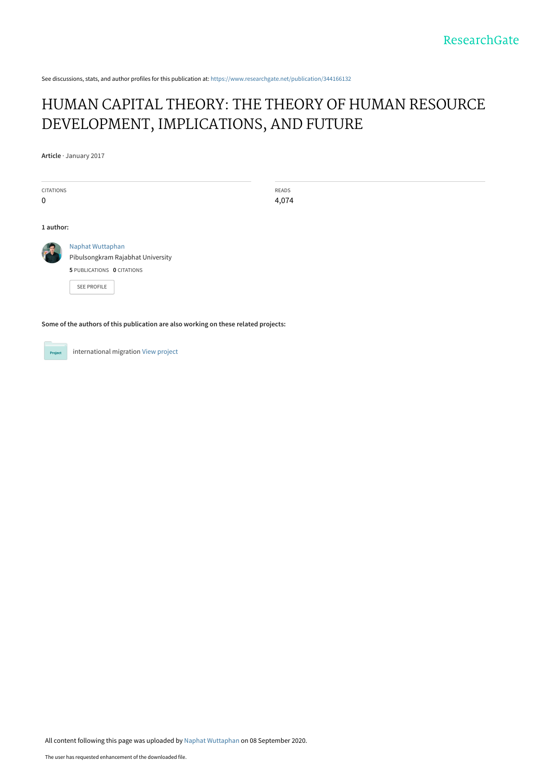See discussions, stats, and author profiles for this publication at: [https://www.researchgate.net/publication/344166132](https://www.researchgate.net/publication/344166132_HUMAN_CAPITAL_THEORY_THE_THEORY_OF_HUMAN_RESOURCE_DEVELOPMENT_IMPLICATIONS_AND_FUTURE?enrichId=rgreq-ed22e5ee06415d0cc972c588fcd6682f-XXX&enrichSource=Y292ZXJQYWdlOzM0NDE2NjEzMjtBUzo5MzM1MTgwNzQ5ODI0MDFAMTU5OTU3OTQ2MTA4OQ%3D%3D&el=1_x_2&_esc=publicationCoverPdf)

## [HUMAN CAPITAL THEORY: THE THEORY OF HUMAN RESOURCE](https://www.researchgate.net/publication/344166132_HUMAN_CAPITAL_THEORY_THE_THEORY_OF_HUMAN_RESOURCE_DEVELOPMENT_IMPLICATIONS_AND_FUTURE?enrichId=rgreq-ed22e5ee06415d0cc972c588fcd6682f-XXX&enrichSource=Y292ZXJQYWdlOzM0NDE2NjEzMjtBUzo5MzM1MTgwNzQ5ODI0MDFAMTU5OTU3OTQ2MTA4OQ%3D%3D&el=1_x_3&_esc=publicationCoverPdf) DEVELOPMENT, IMPLICATIONS, AND FUTURE

**Article** · January 2017

| <b>CITATIONS</b><br><b>READS</b><br>4,074<br>$\mathbf{0}$<br>1 author:<br>Naphat Wuttaphan<br>Pibulsongkram Rajabhat University |  |
|---------------------------------------------------------------------------------------------------------------------------------|--|
|                                                                                                                                 |  |
|                                                                                                                                 |  |
|                                                                                                                                 |  |
|                                                                                                                                 |  |
|                                                                                                                                 |  |
|                                                                                                                                 |  |
| 5 PUBLICATIONS 0 CITATIONS                                                                                                      |  |
| <b>SEE PROFILE</b>                                                                                                              |  |
|                                                                                                                                 |  |

**Some of the authors of this publication are also working on these related projects:**



international migration [View project](https://www.researchgate.net/project/international-migration-2?enrichId=rgreq-ed22e5ee06415d0cc972c588fcd6682f-XXX&enrichSource=Y292ZXJQYWdlOzM0NDE2NjEzMjtBUzo5MzM1MTgwNzQ5ODI0MDFAMTU5OTU3OTQ2MTA4OQ%3D%3D&el=1_x_9&_esc=publicationCoverPdf)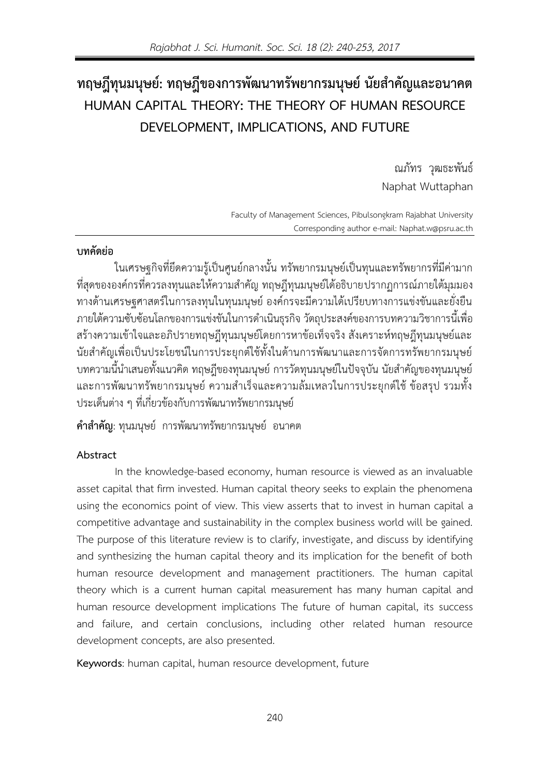# ทฤษฎีทุนมนุษย์: ทฤษฎีของการพัฒนาทรัพยากรมนุษย์ นัยสำคัญและอนาคต **HUMAN CAPITAL THEORY: THE THEORY OF HUMAN RESOURCE DEVELOPMENT, IMPLICATIONS, AND FUTURE**

ณภัทร วุฒธะพันธ์ Naphat Wuttaphan

Faculty of Management Sciences, Pibulsongkram Rajabhat University Corresponding author e-mail: [Naphat.w@psru.ac.th](mailto:Naphat.w@psru.ac.th)

## **บทคัดย่อ**

ในเศรษฐกิจที่ยึดความร้เป็นศูนย์กลางนั้น ทรัพยากรมนุษย์เป็นทุนและทรัพยากรที่มีค่ามาก ที่สุดขององค์กรที่ควรลงทุนและให้ความสำคัญ ทฤษฎีทุนมนุษย์ได้อธิบายปรากฏการณ์ภายใต้มุมมอง ทางด้านเศรษฐศาสตร์ในการลงทุนในทุนมนุษย์ องค์กรจะมีความได้เปรียบทางการแข่งขันและยั่งยืน ภายใต้ความซับซ้อนโลกของการแข่งขันในการดำเนินธุรกิจ วัตถุประสงค์ของการบทความวิชาการนี้เพื่อ สร้างความเข้าใจและอภิปรายทฤษฎีทุนมนุษย์โดยการหาข้อเท็จจริง สังเคราะห์ทฤษฎีทุนมนุษย์และ นัยสำคัญเพื่อเป็นประโยชน์ในการประยุกต์ใช้ทั้งในด้านการพัฒนาและการจัดการทรัพยากรมนุษย์ บทความนี้นำเสนอทั้งแนวคิด ทฤษฎีของทุนมนุษย์ การวัดทุนมนุษย์ในปัจจุบัน นัยสำคัญของทุนมนุษย์ และการพัฒนาทรัพยากรมนุษย์ ความสำเร็จและความล้มเหลวในการประยุกต์ใช้ ข้อสรุป รวมทั้ง ประเด็นต่าง ๆ ที่เกี่ยวข้องกับการพัฒนาทรัพยากรมนุษย์

**ค าส าคัญ**: ทุนมนุษย์ การพัฒนาทรัพยากรมนุษย์ อนาคต

## **Abstract**

In the knowledge-based economy, human resource is viewed as an invaluable asset capital that firm invested. Human capital theory seeks to explain the phenomena using the economics point of view. This view asserts that to invest in human capital a competitive advantage and sustainability in the complex business world will be gained. The purpose of this literature review is to clarify, investigate, and discuss by identifying and synthesizing the human capital theory and its implication for the benefit of both human resource development and management practitioners. The human capital theory which is a current human capital measurement has many human capital and human resource development implications The future of human capital, its success and failure, and certain conclusions, including other related human resource development concepts, are also presented.

**Keywords**: human capital, human resource development, future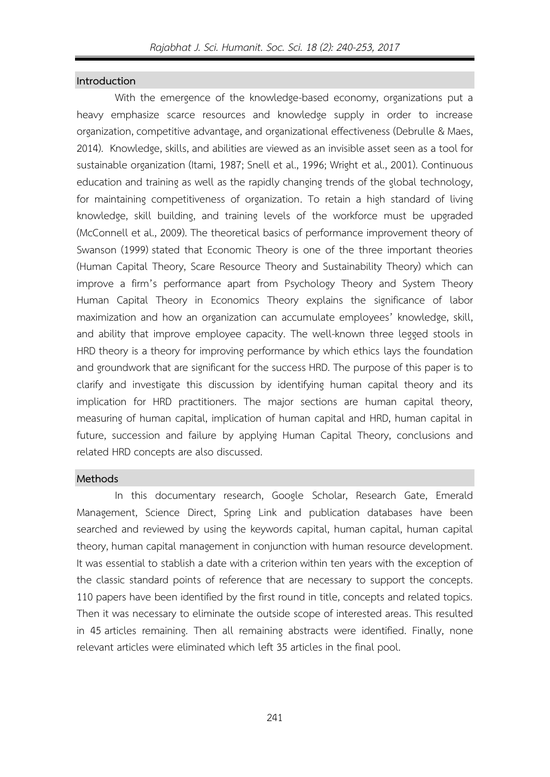## **Introduction**

With the emergence of the knowledge-based economy, organizations put a heavy emphasize scarce resources and knowledge supply in order to increase organization, competitive advantage, and organizational effectiveness (Debrulle & Maes, 2014). Knowledge, skills, and abilities are viewed as an invisible asset seen as a tool for sustainable organization (Itami, 1987; Snell et al., 1996; Wright et al., 2001). Continuous education and training as well as the rapidly changing trends of the global technology, for maintaining competitiveness of organization. To retain a high standard of living knowledge, skill building, and training levels of the workforce must be upgraded (McConnell et al., 2009). The theoretical basics of performance improvement theory of Swanson (1999) stated that Economic Theory is one of the three important theories (Human Capital Theory, Scare Resource Theory and Sustainability Theory) which can improve a firm's performance apart from Psychology Theory and System Theory Human Capital Theory in Economics Theory explains the significance of labor maximization and how an organization can accumulate employees' knowledge, skill, and ability that improve employee capacity. The well-known three legged stools in HRD theory is a theory for improving performance by which ethics lays the foundation and groundwork that are significant for the success HRD. The purpose of this paper is to clarify and investigate this discussion by identifying human capital theory and its implication for HRD practitioners. The major sections are human capital theory, measuring of human capital, implication of human capital and HRD, human capital in future, succession and failure by applying Human Capital Theory, conclusions and related HRD concepts are also discussed.

#### **Methods**

In this documentary research, Google Scholar, Research Gate, Emerald Management, Science Direct, Spring Link and publication databases have been searched and reviewed by using the keywords capital, human capital, human capital theory, human capital management in conjunction with human resource development. It was essential to stablish a date with a criterion within ten years with the exception of the classic standard points of reference that are necessary to support the concepts. 110 papers have been identified by the first round in title, concepts and related topics. Then it was necessary to eliminate the outside scope of interested areas. This resulted in 45 articles remaining. Then all remaining abstracts were identified. Finally, none relevant articles were eliminated which left 35 articles in the final pool.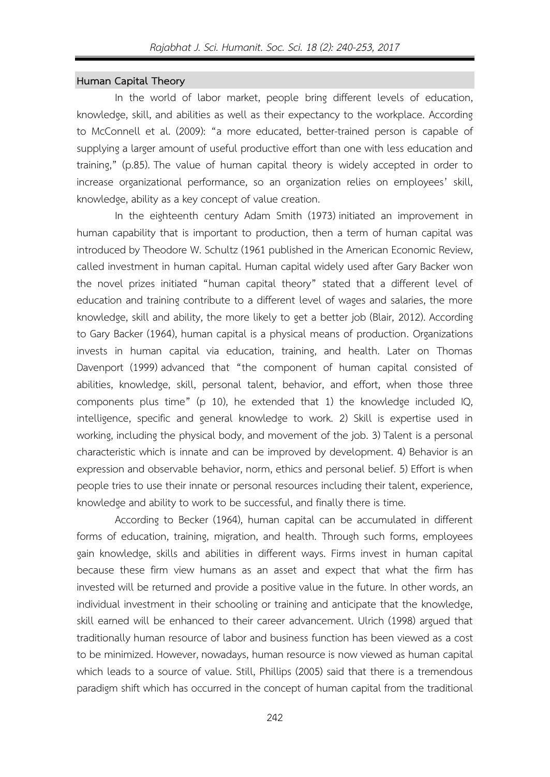## **Human Capital Theory**

In the world of labor market, people bring different levels of education, knowledge, skill, and abilities as well as their expectancy to the workplace. According to McConnell et al. (2009): "a more educated, better-trained person is capable of supplying a larger amount of useful productive effort than one with less education and training," (p.85). The value of human capital theory is widely accepted in order to increase organizational performance, so an organization relies on employees' skill, knowledge, ability as a key concept of value creation.

In the eighteenth century Adam Smith (1973) initiated an improvement in human capability that is important to production, then a term of human capital was introduced by Theodore W. Schultz (1961 published in the American Economic Review, called investment in human capital. Human capital widely used after Gary Backer won the novel prizes initiated "human capital theory" stated that a different level of education and training contribute to a different level of wages and salaries, the more knowledge, skill and ability, the more likely to get a better job (Blair, 2012). According to Gary Backer (1964), human capital is a physical means of production. Organizations invests in human capital via education, training, and health. Later on Thomas Davenport (1999) advanced that "the component of human capital consisted of abilities, knowledge, skill, personal talent, behavior, and effort, when those three components plus time" (p 10), he extended that 1) the knowledge included IQ, intelligence, specific and general knowledge to work. 2) Skill is expertise used in working, including the physical body, and movement of the job. 3) Talent is a personal characteristic which is innate and can be improved by development. 4) Behavior is an expression and observable behavior, norm, ethics and personal belief. 5) Effort is when people tries to use their innate or personal resources including their talent, experience, knowledge and ability to work to be successful, and finally there is time.

According to Becker (1964), human capital can be accumulated in different forms of education, training, migration, and health. Through such forms, employees gain knowledge, skills and abilities in different ways. Firms invest in human capital because these firm view humans as an asset and expect that what the firm has invested will be returned and provide a positive value in the future. In other words, an individual investment in their schooling or training and anticipate that the knowledge, skill earned will be enhanced to their career advancement. Ulrich (1998) argued that traditionally human resource of labor and business function has been viewed as a cost to be minimized. However, nowadays, human resource is now viewed as human capital which leads to a source of value. Still, Phillips (2005) said that there is a tremendous paradigm shift which has occurred in the concept of human capital from the traditional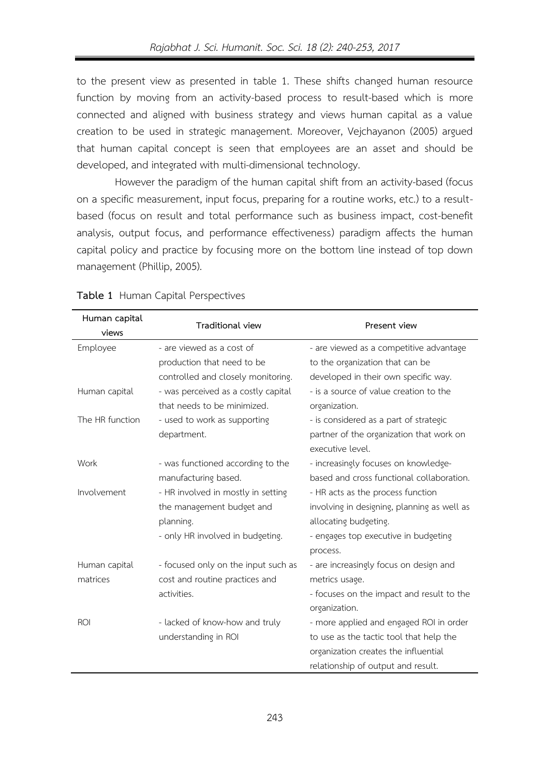to the present view as presented in table 1. These shifts changed human resource function by moving from an activity-based process to result-based which is more connected and aligned with business strategy and views human capital as a value creation to be used in strategic management. Moreover, Vejchayanon (2005) argued that human capital concept is seen that employees are an asset and should be developed, and integrated with multi-dimensional technology.

However the paradigm of the human capital shift from an activity-based (focus on a specific measurement, input focus, preparing for a routine works, etc.) to a resultbased (focus on result and total performance such as business impact, cost-benefit analysis, output focus, and performance effectiveness) paradigm affects the human capital policy and practice by focusing more on the bottom line instead of top down management (Phillip, 2005).

| Human capital   | Traditional view                    | Present view                                |  |
|-----------------|-------------------------------------|---------------------------------------------|--|
| views           |                                     |                                             |  |
| Employee        | - are viewed as a cost of           | - are viewed as a competitive advantage     |  |
|                 | production that need to be          | to the organization that can be             |  |
|                 | controlled and closely monitoring.  | developed in their own specific way.        |  |
| Human capital   | - was perceived as a costly capital | - is a source of value creation to the      |  |
|                 | that needs to be minimized.         | organization.                               |  |
| The HR function | - used to work as supporting        | - is considered as a part of strategic      |  |
|                 | department.                         | partner of the organization that work on    |  |
|                 |                                     | executive level.                            |  |
| Work            | - was functioned according to the   | - increasingly focuses on knowledge-        |  |
|                 | manufacturing based.                | based and cross functional collaboration.   |  |
| Involvement     | - HR involved in mostly in setting  | - HR acts as the process function           |  |
|                 | the management budget and           | involving in designing, planning as well as |  |
|                 | planning.                           | allocating budgeting.                       |  |
|                 | - only HR involved in budgeting.    | - engages top executive in budgeting        |  |
|                 |                                     | process.                                    |  |
| Human capital   | - focused only on the input such as | - are increasingly focus on design and      |  |
| matrices        | cost and routine practices and      | metrics usage.                              |  |
|                 | activities.                         | - focuses on the impact and result to the   |  |
|                 |                                     | organization.                               |  |
| <b>ROI</b>      | - lacked of know-how and truly      | - more applied and engaged ROI in order     |  |
|                 | understanding in ROI                | to use as the tactic tool that help the     |  |
|                 |                                     | organization creates the influential        |  |
|                 |                                     | relationship of output and result.          |  |

### **Table 1** Human Capital Perspectives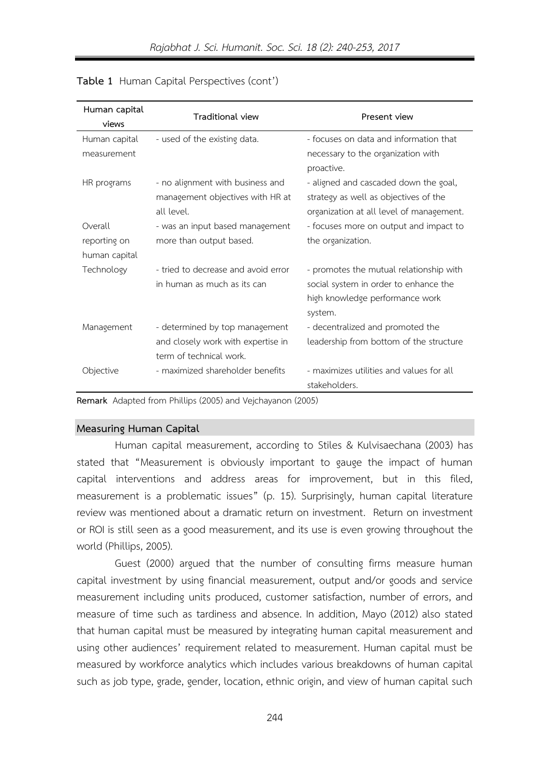| Human capital<br>views                                     | <b>Traditional view</b>             | Present view                                     |  |
|------------------------------------------------------------|-------------------------------------|--------------------------------------------------|--|
| Human capital                                              | - used of the existing data.        | - focuses on data and information that           |  |
| measurement                                                |                                     | necessary to the organization with<br>proactive. |  |
| HR programs                                                | - no alignment with business and    | - aligned and cascaded down the goal,            |  |
|                                                            | management objectives with HR at    | strategy as well as objectives of the            |  |
|                                                            | all level.                          | organization at all level of management.         |  |
| Overall                                                    | - was an input based management     | - focuses more on output and impact to           |  |
| reporting on                                               | more than output based.             | the organization.                                |  |
| human capital                                              |                                     |                                                  |  |
| Technology                                                 | - tried to decrease and avoid error | - promotes the mutual relationship with          |  |
|                                                            | in human as much as its can         | social system in order to enhance the            |  |
|                                                            |                                     | high knowledge performance work<br>system.       |  |
| Management                                                 | - determined by top management      | - decentralized and promoted the                 |  |
|                                                            | and closely work with expertise in  | leadership from bottom of the structure          |  |
|                                                            | term of technical work.             |                                                  |  |
| Objective                                                  | - maximized shareholder benefits    | - maximizes utilities and values for all         |  |
|                                                            |                                     | stakeholders.                                    |  |
| Bomark Adapted from Dhillips (2005) and Voichavanon (2005) |                                     |                                                  |  |

## **Table 1** Human Capital Perspectives (cont')

**Remark** Adapted from Phillips (2005) and Vejchayanon (2005)

#### **Measuring Human Capital**

Human capital measurement, according to Stiles & Kulvisaechana (2003) has stated that "Measurement is obviously important to gauge the impact of human capital interventions and address areas for improvement, but in this filed, measurement is a problematic issues" (p. 15). Surprisingly, human capital literature review was mentioned about a dramatic return on investment. Return on investment or ROI is still seen as a good measurement, and its use is even growing throughout the world (Phillips, 2005).

Guest (2000) argued that the number of consulting firms measure human capital investment by using financial measurement, output and/or goods and service measurement including units produced, customer satisfaction, number of errors, and measure of time such as tardiness and absence. In addition, Mayo (2012) also stated that human capital must be measured by integrating human capital measurement and using other audiences' requirement related to measurement. Human capital must be measured by workforce analytics which includes various breakdowns of human capital such as job type, grade, gender, location, ethnic origin, and view of human capital such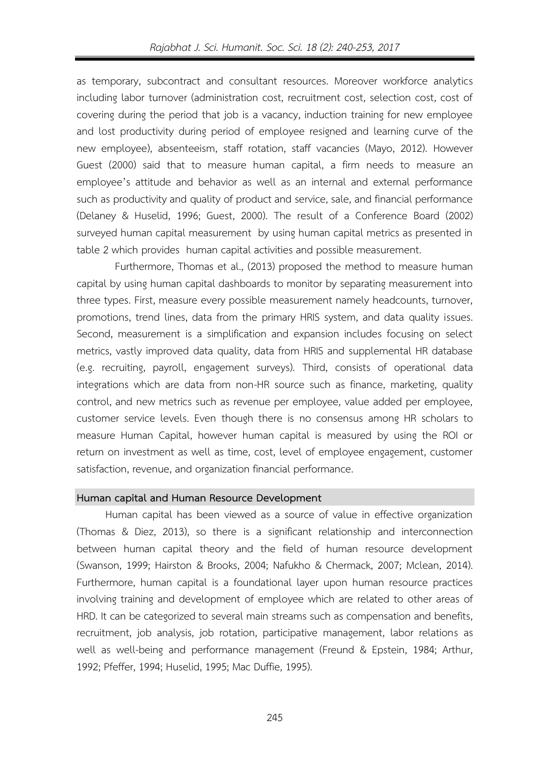as temporary, subcontract and consultant resources. Moreover workforce analytics including labor turnover (administration cost, recruitment cost, selection cost, cost of covering during the period that job is a vacancy, induction training for new employee and lost productivity during period of employee resigned and learning curve of the new employee), absenteeism, staff rotation, staff vacancies (Mayo, 2012). However Guest (2000) said that to measure human capital, a firm needs to measure an employee's attitude and behavior as well as an internal and external performance such as productivity and quality of product and service, sale, and financial performance (Delaney & Huselid, 1996; Guest, 2000). The result of a Conference Board (2002) surveyed human capital measurement by using human capital metrics as presented in table 2 which provides human capital activities and possible measurement.

Furthermore, Thomas et al., (2013) proposed the method to measure human capital by using human capital dashboards to monitor by separating measurement into three types. First, measure every possible measurement namely headcounts, turnover, promotions, trend lines, data from the primary HRIS system, and data quality issues. Second, measurement is a simplification and expansion includes focusing on select metrics, vastly improved data quality, data from HRIS and supplemental HR database (e.g. recruiting, payroll, engagement surveys). Third, consists of operational data integrations which are data from non-HR source such as finance, marketing, quality control, and new metrics such as revenue per employee, value added per employee, customer service levels. Even though there is no consensus among HR scholars to measure Human Capital, however human capital is measured by using the ROI or return on investment as well as time, cost, level of employee engagement, customer satisfaction, revenue, and organization financial performance.

#### **Human capital and Human Resource Development**

Human capital has been viewed as a source of value in effective organization (Thomas & Diez, 2013), so there is a significant relationship and interconnection between human capital theory and the field of human resource development (Swanson, 1999; Hairston & Brooks, 2004; Nafukho & Chermack, 2007; Mclean, 2014). Furthermore, human capital is a foundational layer upon human resource practices involving training and development of employee which are related to other areas of HRD. It can be categorized to several main streams such as compensation and benefits, recruitment, job analysis, job rotation, participative management, labor relations as well as well-being and performance management (Freund & Epstein, 1984; Arthur, 1992; Pfeffer, 1994; Huselid, 1995; Mac Duffie, 1995).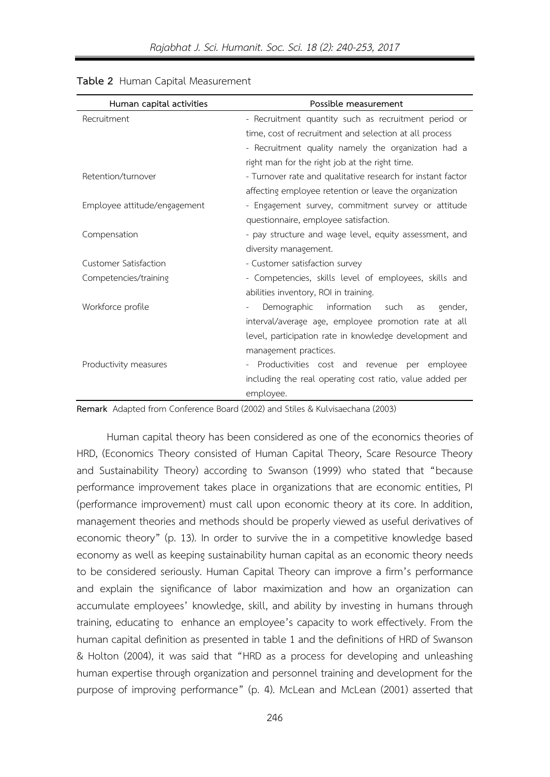| Human capital activities     | Possible measurement                                        |
|------------------------------|-------------------------------------------------------------|
| Recruitment                  | - Recruitment quantity such as recruitment period or        |
|                              | time, cost of recruitment and selection at all process      |
|                              | - Recruitment quality namely the organization had a         |
|                              | right man for the right job at the right time.              |
| Retention/turnover           | - Turnover rate and qualitative research for instant factor |
|                              | affecting employee retention or leave the organization      |
| Employee attitude/engagement | - Engagement survey, commitment survey or attitude          |
|                              | questionnaire, employee satisfaction.                       |
| Compensation                 | - pay structure and wage level, equity assessment, and      |
|                              | diversity management.                                       |
| <b>Customer Satisfaction</b> | - Customer satisfaction survey                              |
| Competencies/training        | - Competencies, skills level of employees, skills and       |
|                              | abilities inventory, ROI in training.                       |
| Workforce profile            | Demographic<br>information such<br>gender,<br>as            |
|                              | interval/average age, employee promotion rate at all        |
|                              | level, participation rate in knowledge development and      |
|                              | management practices.                                       |
| Productivity measures        | - Productivities cost and revenue per employee              |
|                              | including the real operating cost ratio, value added per    |
|                              | employee.                                                   |

## **Table 2** Human Capital Measurement

**Remark** Adapted from Conference Board (2002) and Stiles & Kulvisaechana (2003)

Human capital theory has been considered as one of the economics theories of HRD, (Economics Theory consisted of Human Capital Theory, Scare Resource Theory and Sustainability Theory) according to Swanson (1999) who stated that "because performance improvement takes place in organizations that are economic entities, PI (performance improvement) must call upon economic theory at its core. In addition, management theories and methods should be properly viewed as useful derivatives of economic theory" (p. 13). In order to survive the in a competitive knowledge based economy as well as keeping sustainability human capital as an economic theory needs to be considered seriously. Human Capital Theory can improve a firm's performance and explain the significance of labor maximization and how an organization can accumulate employees' knowledge, skill, and ability by investing in humans through training, educating to enhance an employee's capacity to work effectively. From the human capital definition as presented in table 1 and the definitions of HRD of Swanson & Holton (2004), it was said that "HRD as a process for developing and unleashing human expertise through organization and personnel training and development for the purpose of improving performance" (p. 4). McLean and McLean (2001) asserted that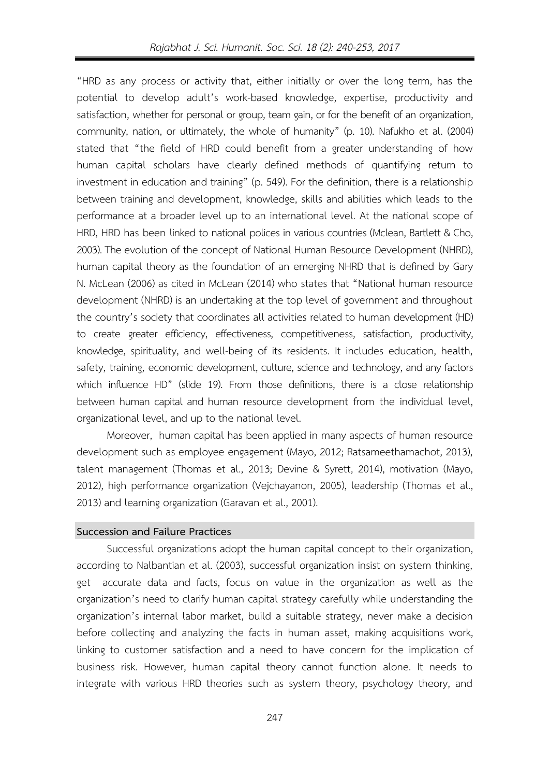"HRD as any process or activity that, either initially or over the long term, has the potential to develop adult's work-based knowledge, expertise, productivity and satisfaction, whether for personal or group, team gain, or for the benefit of an organization, community, nation, or ultimately, the whole of humanity" (p. 10). Nafukho et al. (2004) stated that "the field of HRD could benefit from a greater understanding of how human capital scholars have clearly defined methods of quantifying return to investment in education and training" (p. 549). For the definition, there is a relationship between training and development, knowledge, skills and abilities which leads to the performance at a broader level up to an international level. At the national scope of HRD, HRD has been linked to national polices in various countries (Mclean, Bartlett & Cho, 2003). The evolution of the concept of National Human Resource Development (NHRD), human capital theory as the foundation of an emerging NHRD that is defined by Gary N. McLean (2006) as cited in McLean (2014) who states that "National human resource development (NHRD) is an undertaking at the top level of government and throughout the country's society that coordinates all activities related to human development (HD) to create greater efficiency, effectiveness, competitiveness, satisfaction, productivity, knowledge, spirituality, and well-being of its residents. It includes education, health, safety, training, economic development, culture, science and technology, and any factors which influence HD" (slide 19). From those definitions, there is a close relationship between human capital and human resource development from the individual level, organizational level, and up to the national level.

Moreover, human capital has been applied in many aspects of human resource development such as employee engagement (Mayo, 2012; Ratsameethamachot, 2013), talent management (Thomas et al., 2013; Devine & Syrett, 2014), motivation (Mayo, 2012), high performance organization (Vejchayanon, 2005), leadership (Thomas et al., 2013) and learning organization (Garavan et al., 2001).

## **Succession and Failure Practices**

Successful organizations adopt the human capital concept to their organization, according to Nalbantian et al. (2003), successful organization insist on system thinking, get accurate data and facts, focus on value in the organization as well as the organization's need to clarify human capital strategy carefully while understanding the organization's internal labor market, build a suitable strategy, never make a decision before collecting and analyzing the facts in human asset, making acquisitions work, linking to customer satisfaction and a need to have concern for the implication of business risk. However, human capital theory cannot function alone. It needs to integrate with various HRD theories such as system theory, psychology theory, and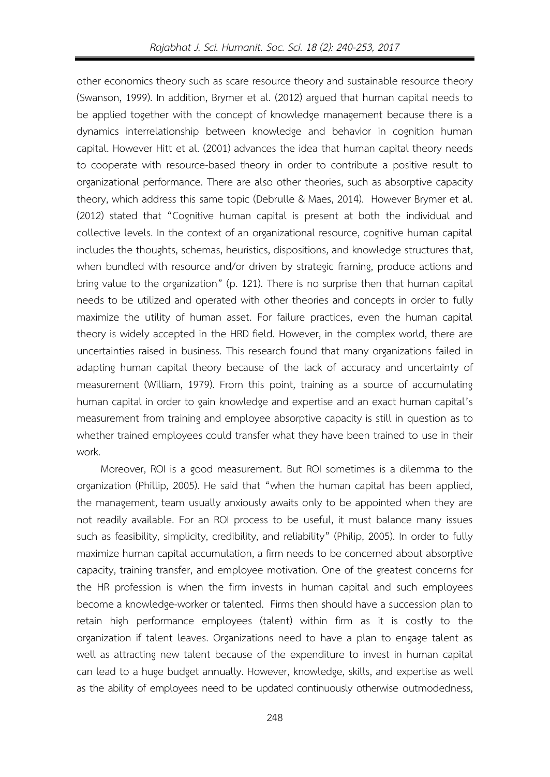other economics theory such as scare resource theory and sustainable resource theory (Swanson, 1999). In addition, Brymer et al. (2012) argued that human capital needs to be applied together with the concept of knowledge management because there is a dynamics interrelationship between knowledge and behavior in cognition human capital. However Hitt et al. (2001) advances the idea that human capital theory needs to cooperate with resource-based theory in order to contribute a positive result to organizational performance. There are also other theories, such as absorptive capacity theory, which address this same topic (Debrulle & Maes, 2014). However Brymer et al. (2012) stated that "Cognitive human capital is present at both the individual and collective levels. In the context of an organizational resource, cognitive human capital includes the thoughts, schemas, heuristics, dispositions, and knowledge structures that, when bundled with resource and/or driven by strategic framing, produce actions and bring value to the organization" (p. 121). There is no surprise then that human capital needs to be utilized and operated with other theories and concepts in order to fully maximize the utility of human asset. For failure practices, even the human capital theory is widely accepted in the HRD field. However, in the complex world, there are uncertainties raised in business. This research found that many organizations failed in adapting human capital theory because of the lack of accuracy and uncertainty of measurement (William, 1979). From this point, training as a source of accumulating human capital in order to gain knowledge and expertise and an exact human capital's measurement from training and employee absorptive capacity is still in question as to whether trained employees could transfer what they have been trained to use in their work.

Moreover, ROI is a good measurement. But ROI sometimes is a dilemma to the organization (Phillip, 2005). He said that "when the human capital has been applied, the management, team usually anxiously awaits only to be appointed when they are not readily available. For an ROI process to be useful, it must balance many issues such as feasibility, simplicity, credibility, and reliability" (Philip, 2005). In order to fully maximize human capital accumulation, a firm needs to be concerned about absorptive capacity, training transfer, and employee motivation. One of the greatest concerns for the HR profession is when the firm invests in human capital and such employees become a knowledge-worker or talented. Firms then should have a succession plan to retain high performance employees (talent) within firm as it is costly to the organization if talent leaves. Organizations need to have a plan to engage talent as well as attracting new talent because of the expenditure to invest in human capital can lead to a huge budget annually. However, knowledge, skills, and expertise as well as the ability of employees need to be updated continuously otherwise outmodedness,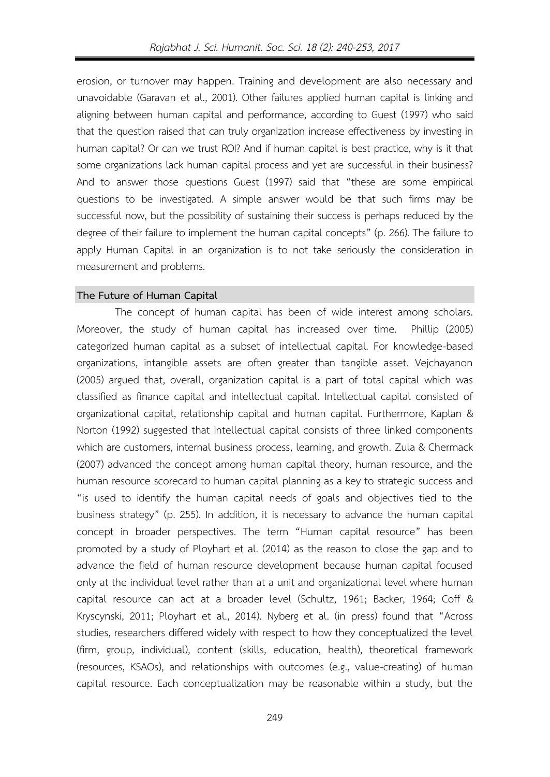erosion, or turnover may happen. Training and development are also necessary and unavoidable (Garavan et al., 2001). Other failures applied human capital is linking and aligning between human capital and performance, according to Guest (1997) who said that the question raised that can truly organization increase effectiveness by investing in human capital? Or can we trust ROI? And if human capital is best practice, why is it that some organizations lack human capital process and yet are successful in their business? And to answer those questions Guest (1997) said that "these are some empirical questions to be investigated. A simple answer would be that such firms may be successful now, but the possibility of sustaining their success is perhaps reduced by the degree of their failure to implement the human capital concepts" (p. 266). The failure to apply Human Capital in an organization is to not take seriously the consideration in measurement and problems.

#### **The Future of Human Capital**

The concept of human capital has been of wide interest among scholars. Moreover, the study of human capital has increased over time. Phillip (2005) categorized human capital as a subset of intellectual capital. For knowledge-based organizations, intangible assets are often greater than tangible asset. Vejchayanon (2005) argued that, overall, organization capital is a part of total capital which was classified as finance capital and intellectual capital. Intellectual capital consisted of organizational capital, relationship capital and human capital. Furthermore, Kaplan & Norton (1992) suggested that intellectual capital consists of three linked components which are customers, internal business process, learning, and growth. Zula & Chermack (2007) advanced the concept among human capital theory, human resource, and the human resource scorecard to human capital planning as a key to strategic success and "is used to identify the human capital needs of goals and objectives tied to the business strategy" (p. 255). In addition, it is necessary to advance the human capital concept in broader perspectives. The term "Human capital resource" has been promoted by a study of Ployhart et al. (2014) as the reason to close the gap and to advance the field of human resource development because human capital focused only at the individual level rather than at a unit and organizational level where human capital resource can act at a broader level (Schultz, 1961; Backer, 1964; Coff & Kryscynski, 2011; Ployhart et al., 2014). Nyberg et al. (in press) found that "Across studies, researchers differed widely with respect to how they conceptualized the level (firm, group, individual), content (skills, education, health), theoretical framework (resources, KSAOs), and relationships with outcomes (e.g., value-creating) of human capital resource. Each conceptualization may be reasonable within a study, but the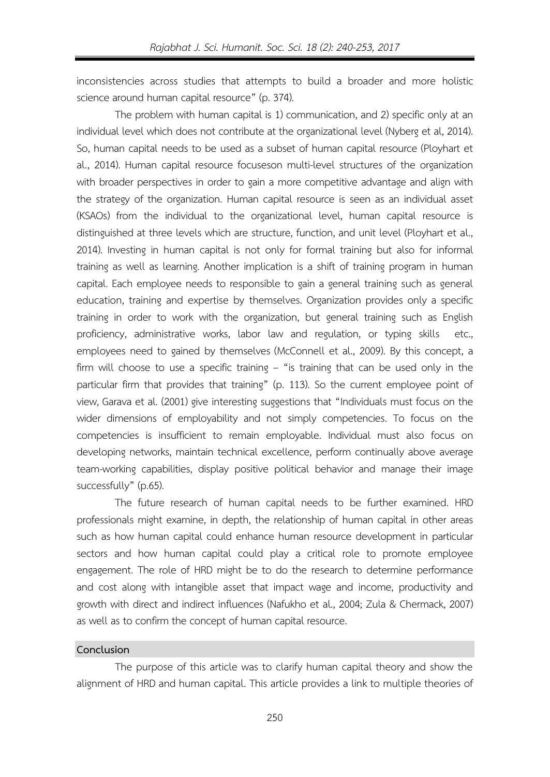inconsistencies across studies that attempts to build a broader and more holistic science around human capital resource" (p. 374).

The problem with human capital is 1) communication, and 2) specific only at an individual level which does not contribute at the organizational level (Nyberg et al, 2014). So, human capital needs to be used as a subset of human capital resource (Ployhart et al., 2014). Human capital resource focuseson multi-level structures of the organization with broader perspectives in order to gain a more competitive advantage and align with the strategy of the organization. Human capital resource is seen as an individual asset (KSAOs) from the individual to the organizational level, human capital resource is distinguished at three levels which are structure, function, and unit level (Ployhart et al., 2014). Investing in human capital is not only for formal training but also for informal training as well as learning. Another implication is a shift of training program in human capital. Each employee needs to responsible to gain a general training such as general education, training and expertise by themselves. Organization provides only a specific training in order to work with the organization, but general training such as English proficiency, administrative works, labor law and regulation, or typing skills etc., employees need to gained by themselves (McConnell et al., 2009). By this concept, a firm will choose to use a specific training - "is training that can be used only in the particular firm that provides that training" (p. 113). So the current employee point of view, Garava et al. (2001) give interesting suggestions that "Individuals must focus on the wider dimensions of employability and not simply competencies. To focus on the competencies is insufficient to remain employable. Individual must also focus on developing networks, maintain technical excellence, perform continually above average team-working capabilities, display positive political behavior and manage their image successfully" (p.65).

The future research of human capital needs to be further examined. HRD professionals might examine, in depth, the relationship of human capital in other areas such as how human capital could enhance human resource development in particular sectors and how human capital could play a critical role to promote employee engagement. The role of HRD might be to do the research to determine performance and cost along with intangible asset that impact wage and income, productivity and growth with direct and indirect influences (Nafukho et al., 2004; Zula & Chermack, 2007) as well as to confirm the concept of human capital resource.

## **Conclusion**

The purpose of this article was to clarify human capital theory and show the alignment of HRD and human capital. This article provides a link to multiple theories of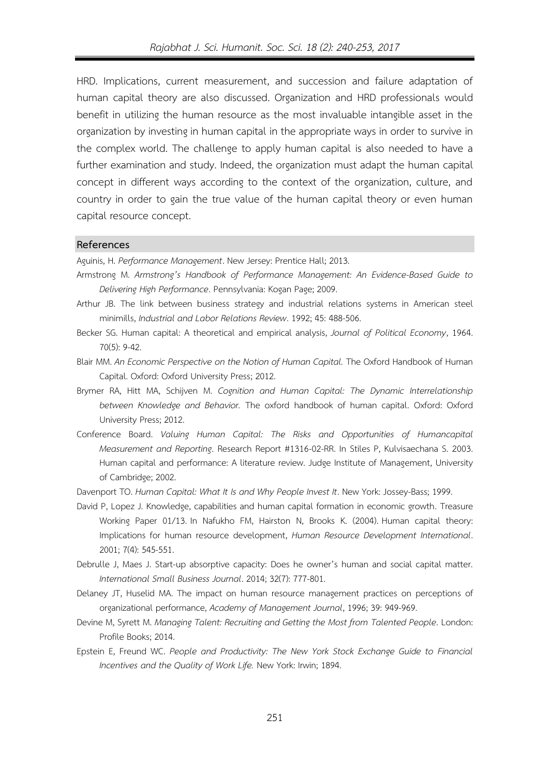HRD. Implications, current measurement, and succession and failure adaptation of human capital theory are also discussed. Organization and HRD professionals would benefit in utilizing the human resource as the most invaluable intangible asset in the organization by investing in human capital in the appropriate ways in order to survive in the complex world. The challenge to apply human capital is also needed to have a further examination and study. Indeed, the organization must adapt the human capital concept in different ways according to the context of the organization, culture, and country in order to gain the true value of the human capital theory or even human capital resource concept.

#### **References**

Aguinis, H. *Performance Management*. New Jersey: Prentice Hall; 2013.

- Armstrong M. *Armstrong's Handbook of Performance Management: An Evidence-Based Guide to Delivering High Performance*. Pennsylvania: Kogan Page; 2009.
- Arthur JB. The link between business strategy and industrial relations systems in American steel minimills, *Industrial and Labor Relations Review*. 1992; 45: 488-506.
- Becker SG. Human capital: A theoretical and empirical analysis, *Journal of Political Economy*, 1964. 70(5): 9-42.
- Blair MM. *An Economic Perspective on the Notion of Human Capital.* The Oxford Handbook of Human Capital. Oxford: Oxford University Press; 2012.
- Brymer RA, Hitt MA, Schijven M. *Cognition and Human Capital: The Dynamic Interrelationship between Knowledge and Behavior.* The oxford handbook of human capital. Oxford: Oxford University Press; 2012.
- Conference Board. *Valuing Human Capital: The Risks and Opportunities of Humancapital Measurement and Reporting*. Research Report #1316-02-RR. In Stiles P, Kulvisaechana S. 2003. Human capital and performance: A literature review. Judge Institute of Management, University of Cambridge; 2002.
- Davenport TO. *Human Capital: What It Is and Why People Invest It*. New York: Jossey-Bass; 1999.
- David P, Lopez J. Knowledge, capabilities and human capital formation in economic growth. Treasure Working Paper 01/13. In Nafukho FM, Hairston N, Brooks K. (2004). Human capital theory: Implications for human resource development, *Human Resource Development International*. 2001; 7(4): 545-551.
- Debrulle J, Maes J. Start-up absorptive capacity: Does he owner's human and social capital matter. *International Small Business Journal*. 2014; 32(7): 777-801.
- Delaney JT, Huselid MA. The impact on human resource management practices on perceptions of organizational performance, *Academy of Management Journal*, 1996; 39: 949-969.
- Devine M, Syrett M. *Managing Talent: Recruiting and Getting the Most from Talented People*. London: Profile Books; 2014.
- Epstein E, Freund WC. *People and Productivity: The New York Stock Exchange Guide to Financial Incentives and the Quality of Work Life.* New York: Irwin; 1894.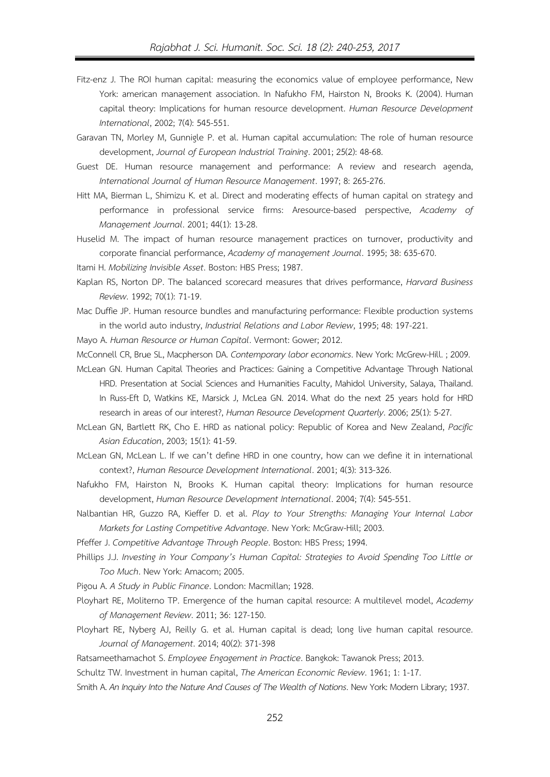- Fitz-enz J. The ROI human capital: measuring the economics value of employee performance, New York: american management association. In Nafukho FM, Hairston N, Brooks K. (2004). Human capital theory: Implications for human resource development. *Human Resource Development International*, 2002; 7(4): 545-551.
- Garavan TN, Morley M, Gunnigle P. et al. Human capital accumulation: The role of human resource development, *Journal of European Industrial Training*. 2001; 25(2): 48-68.
- Guest DE. Human resource management and performance: A review and research agenda, *International Journal of Human Resource Management*. 1997; 8: 265-276.
- Hitt MA, Bierman L, Shimizu K. et al. Direct and moderating effects of human capital on strategy and performance in professional service firms: Aresource-based perspective, *Academy of Management Journal*. 2001; 44(1): 13-28.
- Huselid M. The impact of human resource management practices on turnover, productivity and corporate financial performance, *Academy of management Journal*. 1995; 38: 635-670.
- Itami H. *Mobilizing Invisible Asset*. Boston: HBS Press; 1987.
- Kaplan RS, Norton DP. The balanced scorecard measures that drives performance, *Harvard Business Review*. 1992; 70(1): 71-19.
- Mac Duffie JP. Human resource bundles and manufacturing performance: Flexible production systems in the world auto industry, *Industrial Relations and Labor Review*, 1995; 48: 197-221.

Mayo A. *Human Resource or Human Capital*. Vermont: Gower; 2012.

- McConnell CR, Brue SL, Macpherson DA. *Contemporary labor economics*. New York: McGrew-Hill. ; 2009. McLean GN. Human Capital Theories and Practices: Gaining a Competitive Advantage Through National
	- HRD. Presentation at Social Sciences and Humanities Faculty, Mahidol University, Salaya, Thailand. In Russ-Eft D, Watkins KE, Marsick J, McLea GN. 2014. What do the next 25 years hold for HRD research in areas of our interest?, *Human Resource Development Quarterly*. 2006; 25(1): 5-27.
- McLean GN, Bartlett RK, Cho E. HRD as national policy: Republic of Korea and New Zealand, *Pacific Asian Education*, 2003; 15(1): 41-59.
- McLean GN, McLean L. If we can't define HRD in one country, how can we define it in international context?, *Human Resource Development International*. 2001; 4(3): 313-326.
- Nafukho FM, Hairston N, Brooks K. Human capital theory: Implications for human resource development, *Human Resource Development International*. 2004; 7(4): 545-551.
- Nalbantian HR, Guzzo RA, Kieffer D. et al. *Play to Your Strengths: Managing Your Internal Labor Markets for Lasting Competitive Advantage*. New York: McGraw-Hill; 2003.

Pfeffer J. *Competitive Advantage Through People*. Boston: HBS Press; 1994.

Phillips J.J. *Investing in Your Company's Human Capital: Strategies to Avoid Spending Too Little or Too Much*. New York: Amacom; 2005.

Pigou A. *A Study in Public Finance*. London: Macmillan; 1928.

- Ployhart RE, Moliterno TP. Emergence of the human capital resource: A multilevel model, *Academy of Management Review*. 2011; 36: 127-150.
- Ployhart RE, Nyberg AJ, Reilly G. et al. Human capital is dead; long live human capital resource. *Journal of Management*. 2014; 40(2): 371-398

Ratsameethamachot S. *Employee Engagement in Practice*. Bangkok: Tawanok Press; 2013.

Schultz TW. Investment in human capital, *The American Economic Review*. 1961; 1: 1-17.

Smith A. *An Inquiry Into the Nature And Causes of The Wealth of Nations*. New York: Modern Library; 1937.